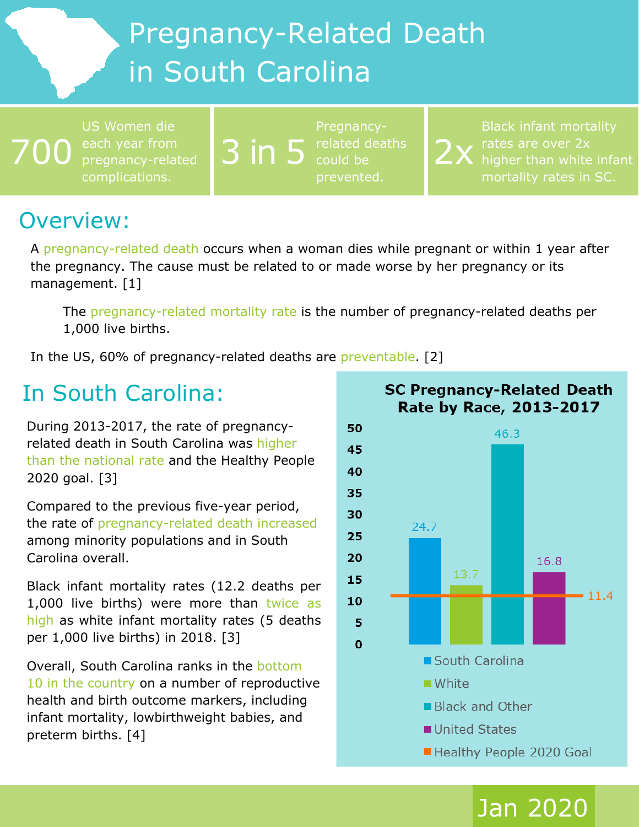# Pregnancy-Related Death in South Carolina

700 US Women die pregnancy-related complications.

3 in 5 related deaths Pregnancyprevented.

2x Black infant mortality rates are over 2x higher than white infant

### Overview:

A pregnancy-related death occurs when a woman dies while pregnant or within 1 year after the pregnancy. The cause must be related to or made worse by her pregnancy or its management. [1]

The pregnancy-related mortality rate is the number of pregnancy-related deaths per 1,000 live births.

In the US, 60% of pregnancy-related deaths are preventable. [2]

### In South Carolina:

During 2013-2017, the rate of pregnancyrelated death in South Carolina was higher than the national rate and the Healthy People 2020 goal. [3]

Compared to the previous five-year period, the rate of pregnancy-related death increased among minority populations and in South Carolina overall.

Black infant mortality rates (12.2 deaths per 1,000 live births) were more than twice as high as white infant mortality rates (5 deaths per 1,000 live births) in 2018. [3]

Overall, South Carolina ranks in the bottom 10 in the country on a number of reproductive health and birth outcome markers, including infant mortality, lowbirthweight babies, and preterm births. [4]



Jan 2020

### **SC Pregnancy-Related Death** Rate by Race, 2013-2017